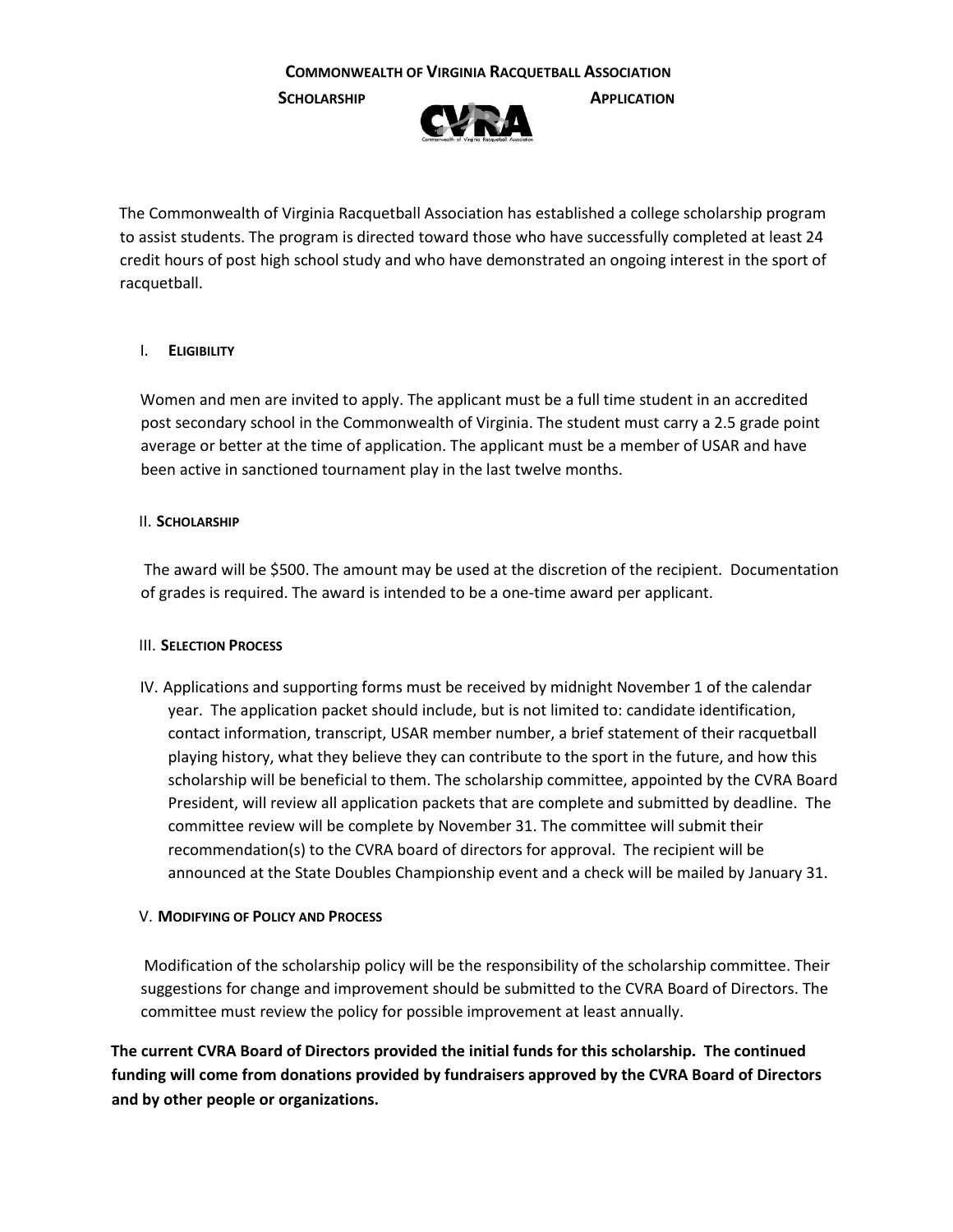**SCHOLARSHIP APPLICATION**



The Commonwealth of Virginia Racquetball Association has established a college scholarship program to assist students. The program is directed toward those who have successfully completed at least 24 credit hours of post high school study and who have demonstrated an ongoing interest in the sport of racquetball.

## I. **ELIGIBILITY**

Women and men are invited to apply. The applicant must be a full time student in an accredited post secondary school in the Commonwealth of Virginia. The student must carry a 2.5 grade point average or better at the time of application. The applicant must be a member of USAR and have been active in sanctioned tournament play in the last twelve months.

## II. **SCHOLARSHIP**

The award will be \$500. The amount may be used at the discretion of the recipient. Documentation of grades is required. The award is intended to be a one-time award per applicant.

## III. **SELECTION PROCESS**

IV. Applications and supporting forms must be received by midnight November 1 of the calendar year. The application packet should include, but is not limited to: candidate identification, contact information, transcript, USAR member number, a brief statement of their racquetball playing history, what they believe they can contribute to the sport in the future, and how this scholarship will be beneficial to them. The scholarship committee, appointed by the CVRA Board President, will review all application packets that are complete and submitted by deadline. The committee review will be complete by November 31. The committee will submit their recommendation(s) to the CVRA board of directors for approval. The recipient will be announced at the State Doubles Championship event and a check will be mailed by January 31.

## V. **MODIFYING OF POLICY AND PROCESS**

Modification of the scholarship policy will be the responsibility of the scholarship committee. Their suggestions for change and improvement should be submitted to the CVRA Board of Directors. The committee must review the policy for possible improvement at least annually.

**The current CVRA Board of Directors provided the initial funds for this scholarship. The continued funding will come from donations provided by fundraisers approved by the CVRA Board of Directors and by other people or organizations.**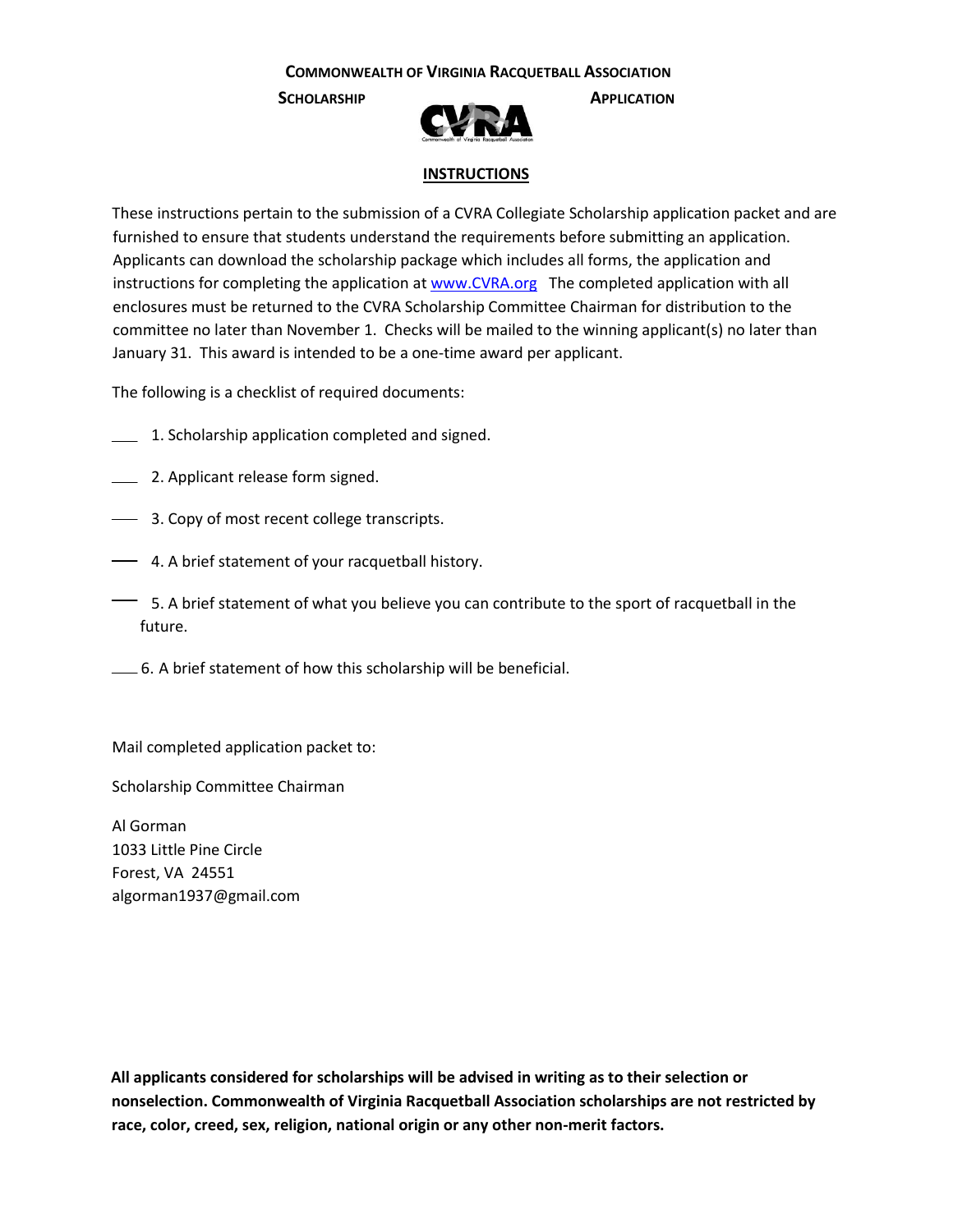**SCHOLARSHIP APPLICATION**



### **INSTRUCTIONS**

These instructions pertain to the submission of a CVRA Collegiate Scholarship application packet and are furnished to ensure that students understand the requirements before submitting an application. Applicants can download the scholarship package which includes all forms, the application and instructions for completing the application [at www.CVRA.org](http://www.cvra.org/) The completed application with all enclosures must be returned to the CVRA Scholarship Committee Chairman for distribution to the committee no later than November 1. Checks will be mailed to the winning applicant(s) no later than January 31. This award is intended to be a one-time award per applicant.

The following is a checklist of required documents:

- 1. Scholarship application completed and signed.
- **2. Applicant release form signed.**
- **3. Copy of most recent college transcripts.**
- 4. A brief statement of your racquetball history.
- $\equiv$  5. A brief statement of what you believe you can contribute to the sport of racquetball in the future.
- 6. A brief statement of how this scholarship will be beneficial.

Mail completed application packet to:

Scholarship Committee Chairman

Al Gorman 1033 Little Pine Circle Forest, VA 24551 algorman1937@gmail.com

**All applicants considered for scholarships will be advised in writing as to their selection or nonselection. Commonwealth of Virginia Racquetball Association scholarships are not restricted by race, color, creed, sex, religion, national origin or any other non-merit factors.**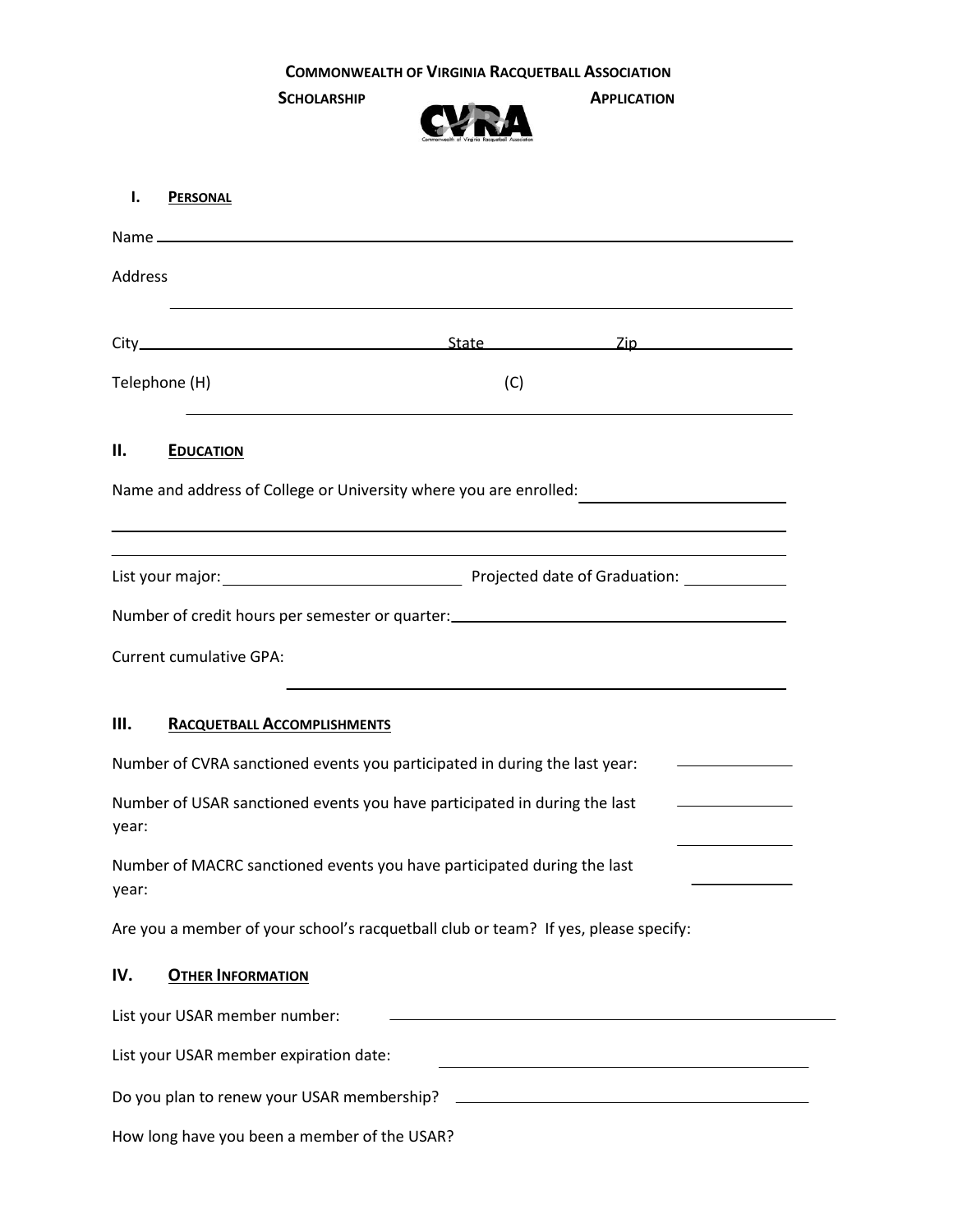

| ı.                                                                                                                              | <b>PERSONAL</b>                    |  |  |  |
|---------------------------------------------------------------------------------------------------------------------------------|------------------------------------|--|--|--|
|                                                                                                                                 |                                    |  |  |  |
| Address                                                                                                                         |                                    |  |  |  |
|                                                                                                                                 |                                    |  |  |  |
|                                                                                                                                 | Telephone (H)<br>(C)               |  |  |  |
| Н.                                                                                                                              | <b>EDUCATION</b>                   |  |  |  |
| Name and address of College or University where you are enrolled:                                                               |                                    |  |  |  |
|                                                                                                                                 |                                    |  |  |  |
| Number of credit hours per semester or quarter: ________________________________                                                |                                    |  |  |  |
| <b>Current cumulative GPA:</b>                                                                                                  |                                    |  |  |  |
| Ш.                                                                                                                              | <b>RACQUETBALL ACCOMPLISHMENTS</b> |  |  |  |
| Number of CVRA sanctioned events you participated in during the last year:                                                      |                                    |  |  |  |
| Number of USAR sanctioned events you have participated in during the last<br>the control of the control of the control<br>year: |                                    |  |  |  |
| Number of MACRC sanctioned events you have participated during the last<br>year:                                                |                                    |  |  |  |
| Are you a member of your school's racquetball club or team? If yes, please specify:                                             |                                    |  |  |  |
| IV.                                                                                                                             | <b>OTHER INFORMATION</b>           |  |  |  |
| List your USAR member number:<br><u> 1989 - Johann Stoff, Amerikaansk politiker († 1908)</u>                                    |                                    |  |  |  |
| List your USAR member expiration date:<br><u> 1980 - Johann Barbara, martxa alemaniar arg</u>                                   |                                    |  |  |  |
|                                                                                                                                 |                                    |  |  |  |
| How long have you been a member of the USAR?                                                                                    |                                    |  |  |  |